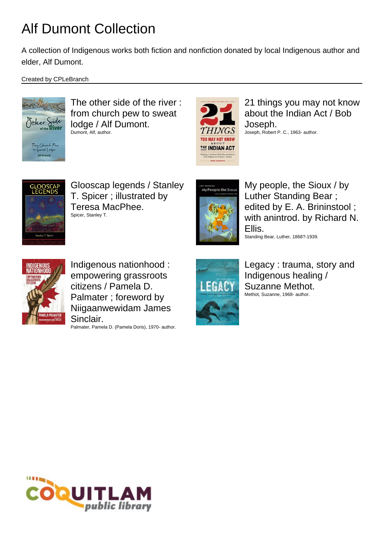A collection of Indigenous works both fiction and nonfiction donated by local Indigenous author and elder, Alf Dumont.

Created by CPLeBranch



The other side of the river : from church pew to sweat lodge / Alf Dumont. Dumont, Alf, author.



21 things you may not know about the Indian Act / Bob Joseph. Joseph, Robert P. C., 1963- author.



Glooscap legends / Stanley T. Spicer ; illustrated by Teresa MacPhee. Spicer, Stanley T.



My people, the Sioux / by Luther Standing Bear ; edited by E. A. Brininstool ; with anintrod. by Richard N. Ellis. Standing Bear, Luther, 1868?-1939.



Indigenous nationhood : empowering grassroots citizens / Pamela D. Palmater ; foreword by Niigaanwewidam James Sinclair.

Palmater, Pamela D. (Pamela Doris), 1970- author.



Legacy : trauma, story and Indigenous healing / Suzanne Methot. Methot, Suzanne, 1968- author.

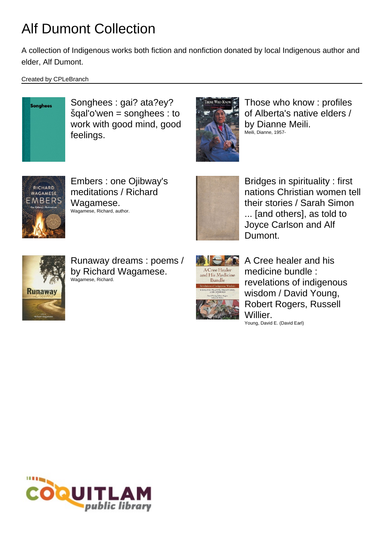A collection of Indigenous works both fiction and nonfiction donated by local Indigenous author and elder, Alf Dumont.

Created by CPLeBranch



Songhees : gai? ata?ey? šqal'o'wen = songhees : to work with good mind, good feelings.



Those who know : profiles of Alberta's native elders / by Dianne Meili. Meili, Dianne, 1957-



Embers : one Ojibway's meditations / Richard Wagamese. Wagamese, Richard, author.



Bridges in spirituality : first nations Christian women tell their stories / Sarah Simon ... [and others], as told to Joyce Carlson and Alf Dumont.



Runaway dreams : poems / by Richard Wagamese. Wagamese, Richard.



A Cree healer and his medicine bundle : revelations of indigenous wisdom / David Young, Robert Rogers, Russell Willier. Young, David E. (David Earl)

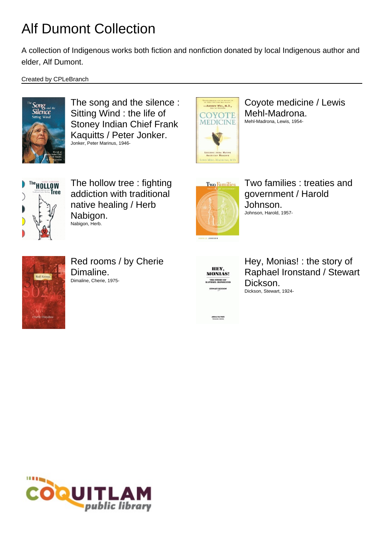A collection of Indigenous works both fiction and nonfiction donated by local Indigenous author and elder, Alf Dumont.

Created by CPLeBranch



The song and the silence : Sitting Wind : the life of Stoney Indian Chief Frank Kaquitts / Peter Jonker. Jonker, Peter Marinus, 1946-



Coyote medicine / Lewis Mehl-Madrona. Mehl-Madrona, Lewis, 1954-



The hollow tree : fighting addiction with traditional native healing / Herb Nabigon. Nabigon, Herb.



Two families : treaties and government / Harold Johnson. Johnson, Harold, 1957-



Red rooms / by Cherie Dimaline. Dimaline, Cherie, 1975-



Hey, Monias! : the story of Raphael Ironstand / Stewart Dickson. Dickson, Stewart, 1924-

AREBOAL PALE PRESS

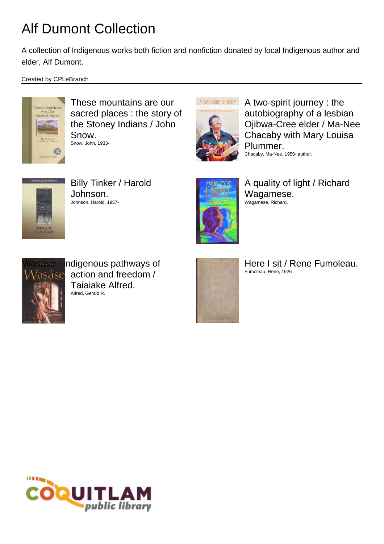A collection of Indigenous works both fiction and nonfiction donated by local Indigenous author and elder, Alf Dumont.

Created by CPLeBranch



These mountains are our sacred places : the story of the Stoney Indians / John Snow. Snow, John, 1933-



A two-spirit journey : the autobiography of a lesbian Ojibwa-Cree elder / Ma-Nee Chacaby with Mary Louisa Plummer. Chacaby, Ma-Nee, 1950- author.



Billy Tinker / Harold Johnson. Johnson, Harold, 1957-



A quality of light / Richard Wagamese. Wagamese, Richard.



ndigenous pathways of action and freedom / Taiaiake Alfred. Alfred, Gerald R.



Here I sit / Rene Fumoleau. Fumoleau, René, 1926-

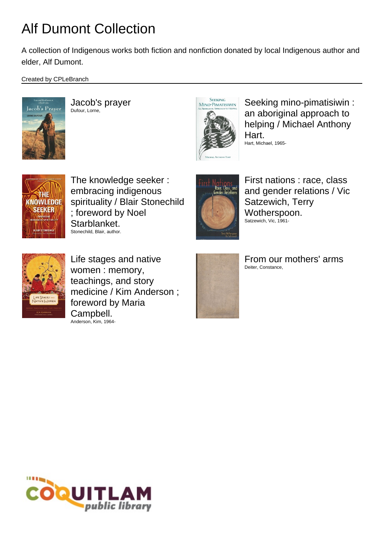A collection of Indigenous works both fiction and nonfiction donated by local Indigenous author and elder, Alf Dumont.

Created by CPLeBranch



Jacob's prayer Dufour, Lorne,



Seeking mino-pimatisiwin : an aboriginal approach to helping / Michael Anthony Hart. Hart, Michael, 1965-



The knowledge seeker : embracing indigenous spirituality / Blair Stonechild ; foreword by Noel Starblanket. Stonechild, Blair, author.



First nations : race, class and gender relations / Vic Satzewich, Terry Wotherspoon. Satzewich, Vic, 1961-



Life stages and native women : memory, teachings, and story medicine / Kim Anderson ; foreword by Maria Campbell. Anderson, Kim, 1964-



From our mothers' arms Deiter, Constance,

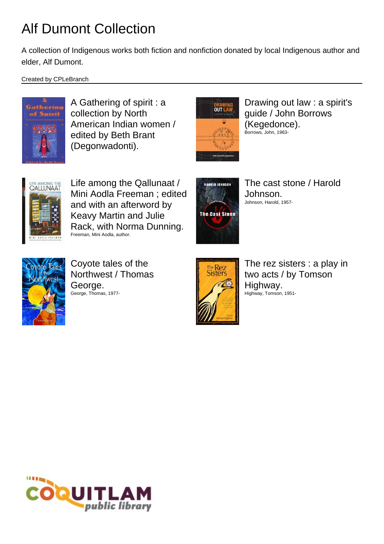A collection of Indigenous works both fiction and nonfiction donated by local Indigenous author and elder, Alf Dumont.

Created by CPLeBranch



A Gathering of spirit : a collection by North American Indian women / edited by Beth Brant (Degonwadonti).



Drawing out law : a spirit's guide / John Borrows (Kegedonce). Borrows, John, 1963-



Life among the Qallunaat / Mini Aodla Freeman ; edited and with an afterword by Keavy Martin and Julie Rack, with Norma Dunning. Freeman, Mini Aodla, author.



The cast stone / Harold Johnson. Johnson, Harold, 1957-



Coyote tales of the Northwest / Thomas George. George, Thomas, 1977-



The rez sisters : a play in two acts / by Tomson Highway. Highway, Tomson, 1951-

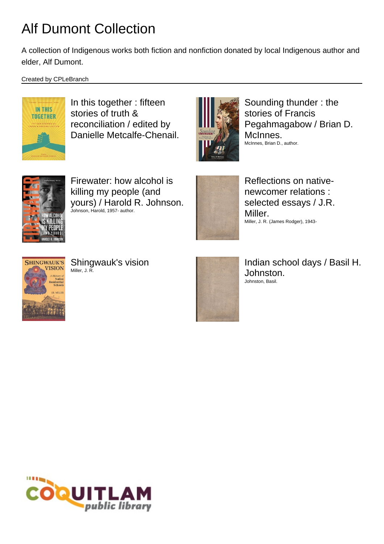A collection of Indigenous works both fiction and nonfiction donated by local Indigenous author and elder, Alf Dumont.

Created by CPLeBranch



In this together : fifteen stories of truth & reconciliation / edited by Danielle Metcalfe-Chenail.



Sounding thunder : the stories of Francis Pegahmagabow / Brian D. McInnes. McInnes, Brian D., author.



Firewater: how alcohol is killing my people (and yours) / Harold R. Johnson. Johnson, Harold, 1957- author.



Reflections on nativenewcomer relations : selected essays / J.R. Miller. Miller, J. R. (James Rodger), 1943-



Shingwauk's vision Miller, J. R.



Indian school days / Basil H. Johnston. Johnston, Basil.

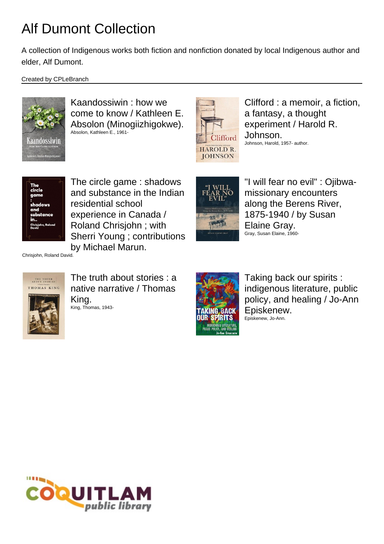A collection of Indigenous works both fiction and nonfiction donated by local Indigenous author and elder, Alf Dumont.

Created by CPLeBranch



Kaandossiwin : how we come to know / Kathleen E. Absolon (Minogiizhigokwe). Absolon, Kathleen E., 1961-



Clifford : a memoir, a fiction, a fantasy, a thought experiment / Harold R. Johnson. Johnson, Harold, 1957- author.



The circle game : shadows and substance in the Indian residential school experience in Canada / Roland Chrisjohn ; with Sherri Young ; contributions by Michael Marun.



"I will fear no evil" : Ojibwamissionary encounters along the Berens River, 1875-1940 / by Susan Elaine Gray. Gray, Susan Elaine, 1960-

Chrisjohn, Roland David.







Taking back our spirits : indigenous literature, public policy, and healing / Jo-Ann Episkenew. Episkenew, Jo-Ann.